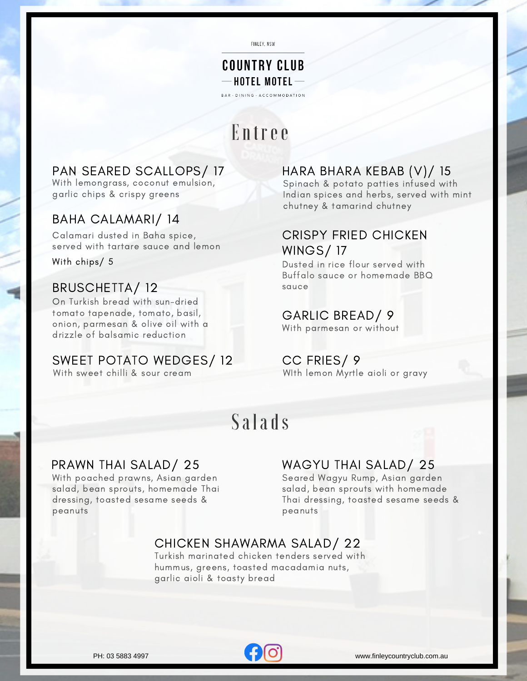FINLEY, NSW

### **COUNTRY CLUB**  $-$  HOTEL MOTEL  $-$

BAR · DINING · ACCOMMODATION

## Entree

### PAN SEARED SCALLOPS/ 17

With lemongrass, coconut emulsion, garlic chips & crispy greens

### BAHA CALAMARI/ 14

Calamari dusted in Baha spice, served with tartare sauce and lemon

With chips/ 5

### BRUSCHETTA/ 12

On Turkish bread with sun-dried tomato tapenade, tomato, basil, onion, parmesan & olive oil with a drizzle of balsamic reduction

### SWEET POTATO WEDGES/ 12

With sweet chilli & sour cream

### HARA BHARA KEBAB (V)/ 15

Spinach & potato patties infused with Indian spices and herbs, served with mint chutney & tamarind chutney

### CRISPY FRIED CHICKEN WINGS/ 17

Dusted in rice flour served with Buffalo sauce or homemade BBQ sauce

### GARLIC BREAD/ 9

With parmesan or without

### CC FRIES/ 9

WIth lemon Myrtle aioli or gravy

## Salads

With poached prawns, Asian garden salad, bean sprouts, homemade Thai dressing, toasted sesame seeds & peanuts

### PRAWN THAI SALAD/ 25 WAGYU THAI SALAD/ 25

Seared Wagyu Rump, Asian garden salad, bean sprouts with homemade Thai dressing, toasted sesame seeds & peanuts

### CHICKEN SHAWARMA SALAD/ 22

Turkish marinated chicken tenders served with hummus, greens, toasted macadamia nuts, garlic aioli & toasty bread

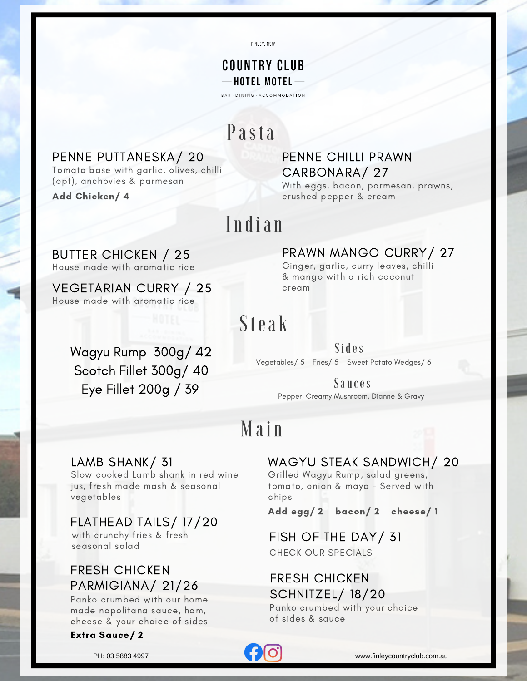FINLEY, NSW

### **COUNTRY CLUB**  $-$  HOTEL MOTEL  $-$

BAR · DINING · ACCOMMODATION

## Pasta

### PENNE PUTTANESKA/ 20

Tomato base with garlic, olives, chilli (opt), anchovies & parmesan

Add Chicken/ 4

### PENNE CHILLI PRAWN CARBONARA/ 27

With eggs, bacon, parmesan, prawns, crushed pepper & cream

## Indian

House made with aromatic rice BUTTER CHICKEN / 25

House made with aromatic rice VEGETARIAN CURRY / 25 PRAWN MANGO CURRY / 27<br>Ginger, garlic, curry leaves, chilli

& mango with a rich coconut cream

# Steak

de with aromatic rice<br>
ARIAN CURRY / 25<br>
dide with aromatic rice<br>
Star angle with a rich occount<br>
Fillet 300g/ 42<br>
Pregendbes/5 Fries/5 Sweet Platato Wedges/6<br>
Fillet 200g / 39<br>
Main<br>
Main<br>
Main<br>
Main<br>
MAGYU STEAK SANDWICH Wagyu Rump 300g/ 42 Scotch Fillet 300g/ 40 Eye Fillet 200g / 39

#### Sides Vegetables/ 5 Fries/ 5 Sweet Potato Wedges/ 6

Sauces

Pepper, Creamy Mushroom, Dianne & Gravy

# Main

Slow cooked Lamb shank in red wine jus, fresh made mash & seasonal vegetables

### FLATHEAD TAILS/ 17/20

with crunchy fries & fresh seasonal salad

### FRESH CHICKEN PARMIGIANA/ 21/26

Panko crumbed with our home made napolitana sauce, ham, cheese & your choice of sides

#### Extra Sauce/ 2

### LAMB SHANK/ 31 WAGYU STEAK SANDWICH/ 20

Grilled Wagyu Rump, salad greens, tomato, onion & mayo - Served with chips

Add egg/ 2 bacon/ 2 cheese/ 1

FISH OF THE DAY/ 31 CHECK OUR SPECIALS

### FRESH CHICKEN SCHNITZEL/ 18/20

Panko crumbed with your choice of sides & sauce